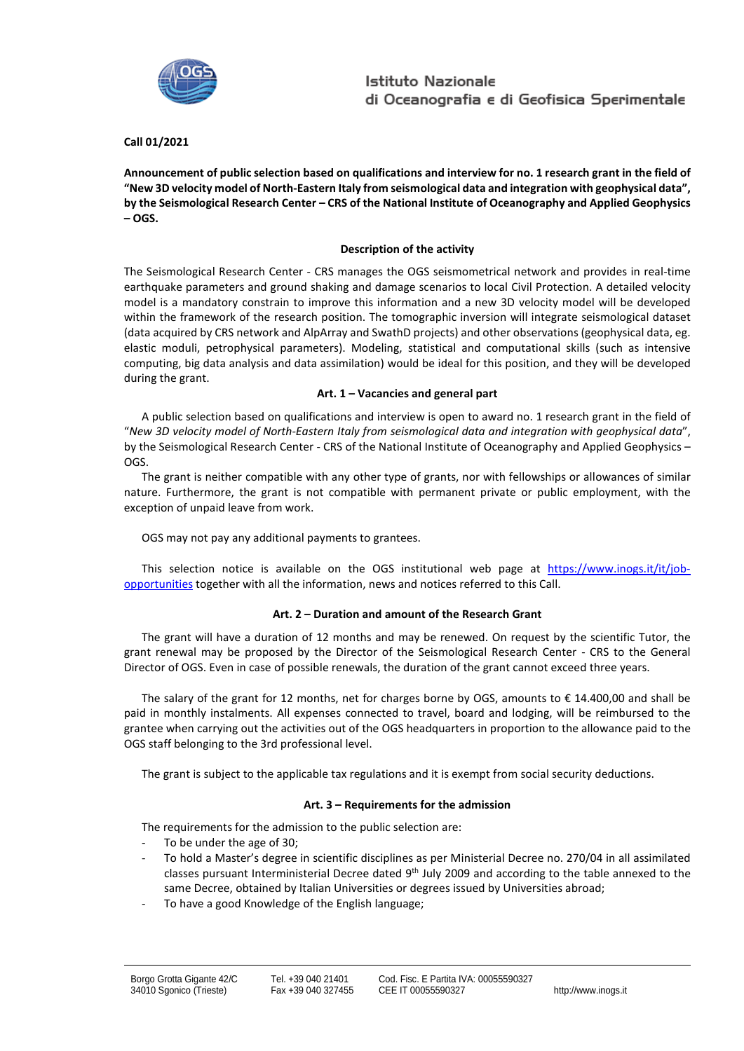

## **Call 01/2021**

**Announcement of public selection based on qualifications and interview for no. 1 research grant in the field of "New 3D velocity model of North-Eastern Italy from seismological data and integration with geophysical data", by the Seismological Research Center – CRS of the National Institute of Oceanography and Applied Geophysics – OGS.**

## **Description of the activity**

The Seismological Research Center - CRS manages the OGS seismometrical network and provides in real-time earthquake parameters and ground shaking and damage scenarios to local Civil Protection. A detailed velocity model is a mandatory constrain to improve this information and a new 3D velocity model will be developed within the framework of the research position. The tomographic inversion will integrate seismological dataset (data acquired by CRS network and AlpArray and SwathD projects) and other observations (geophysical data, eg. elastic moduli, petrophysical parameters). Modeling, statistical and computational skills (such as intensive computing, big data analysis and data assimilation) would be ideal for this position, and they will be developed during the grant.

#### **Art. 1 – Vacancies and general part**

A public selection based on qualifications and interview is open to award no. 1 research grant in the field of "*New 3D velocity model of North-Eastern Italy from seismological data and integration with geophysical data*", by the Seismological Research Center - CRS of the National Institute of Oceanography and Applied Geophysics – OGS.

The grant is neither compatible with any other type of grants, nor with fellowships or allowances of similar nature. Furthermore, the grant is not compatible with permanent private or public employment, with the exception of unpaid leave from work.

OGS may not pay any additional payments to grantees.

This selection notice is available on the OGS institutional web page at [https://www.inogs.it/it/job](https://www.inogs.it/it/job-opportunities)[opportunities](https://www.inogs.it/it/job-opportunities) together with all the information, news and notices referred to this Call.

## **Art. 2 – Duration and amount of the Research Grant**

The grant will have a duration of 12 months and may be renewed. On request by the scientific Tutor, the grant renewal may be proposed by the Director of the Seismological Research Center - CRS to the General Director of OGS. Even in case of possible renewals, the duration of the grant cannot exceed three years.

The salary of the grant for 12 months, net for charges borne by OGS, amounts to  $\epsilon$  14.400,00 and shall be paid in monthly instalments. All expenses connected to travel, board and lodging, will be reimbursed to the grantee when carrying out the activities out of the OGS headquarters in proportion to the allowance paid to the OGS staff belonging to the 3rd professional level.

The grant is subject to the applicable tax regulations and it is exempt from social security deductions.

## **Art. 3 – Requirements for the admission**

The requirements for the admission to the public selection are:

- To be under the age of 30;
- To hold a Master's degree in scientific disciplines as per Ministerial Decree no. 270/04 in all assimilated classes pursuant Interministerial Decree dated 9<sup>th</sup> July 2009 and according to the table annexed to the same Decree, obtained by Italian Universities or degrees issued by Universities abroad;
- To have a good Knowledge of the English language;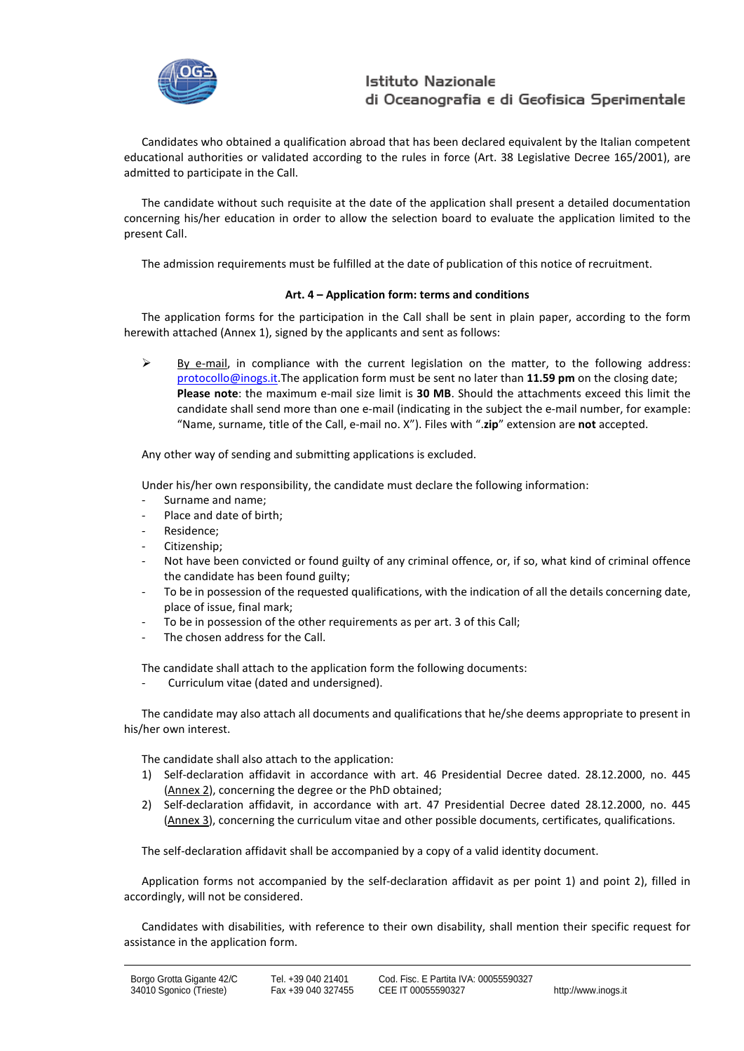

Candidates who obtained a qualification abroad that has been declared equivalent by the Italian competent educational authorities or validated according to the rules in force (Art. 38 Legislative Decree 165/2001), are admitted to participate in the Call.

The candidate without such requisite at the date of the application shall present a detailed documentation concerning his/her education in order to allow the selection board to evaluate the application limited to the present Call.

The admission requirements must be fulfilled at the date of publication of this notice of recruitment.

## **Art. 4 – Application form: terms and conditions**

The application forms for the participation in the Call shall be sent in plain paper, according to the form herewith attached (Annex 1), signed by the applicants and sent as follows:

 $\triangleright$  By e-mail, in compliance with the current legislation on the matter, to the following address: [protocollo@inogs.it.T](mailto:protocollo@inogs.it)he application form must be sent no later than **11.59 pm** on the closing date; **Please note**: the maximum e-mail size limit is **30 MB**. Should the attachments exceed this limit the candidate shall send more than one e-mail (indicating in the subject the e-mail number, for example: "Name, surname, title of the Call, e-mail no. X"). Files with ".**zip**" extension are **not** accepted.

Any other way of sending and submitting applications is excluded.

Under his/her own responsibility, the candidate must declare the following information:

- Surname and name;
- Place and date of birth:
- Residence:
- Citizenship;
- Not have been convicted or found guilty of any criminal offence, or, if so, what kind of criminal offence the candidate has been found guilty;
- To be in possession of the requested qualifications, with the indication of all the details concerning date, place of issue, final mark;
- To be in possession of the other requirements as per art. 3 of this Call;
- The chosen address for the Call.

The candidate shall attach to the application form the following documents:

- Curriculum vitae (dated and undersigned).

The candidate may also attach all documents and qualifications that he/she deems appropriate to present in his/her own interest.

The candidate shall also attach to the application:

- 1) Self-declaration affidavit in accordance with art. 46 Presidential Decree dated. 28.12.2000, no. 445 (Annex 2), concerning the degree or the PhD obtained;
- 2) Self-declaration affidavit, in accordance with art. 47 Presidential Decree dated 28.12.2000, no. 445 (Annex 3), concerning the curriculum vitae and other possible documents, certificates, qualifications.

The self-declaration affidavit shall be accompanied by a copy of a valid identity document.

Application forms not accompanied by the self-declaration affidavit as per point 1) and point 2), filled in accordingly, will not be considered.

Candidates with disabilities, with reference to their own disability, shall mention their specific request for assistance in the application form.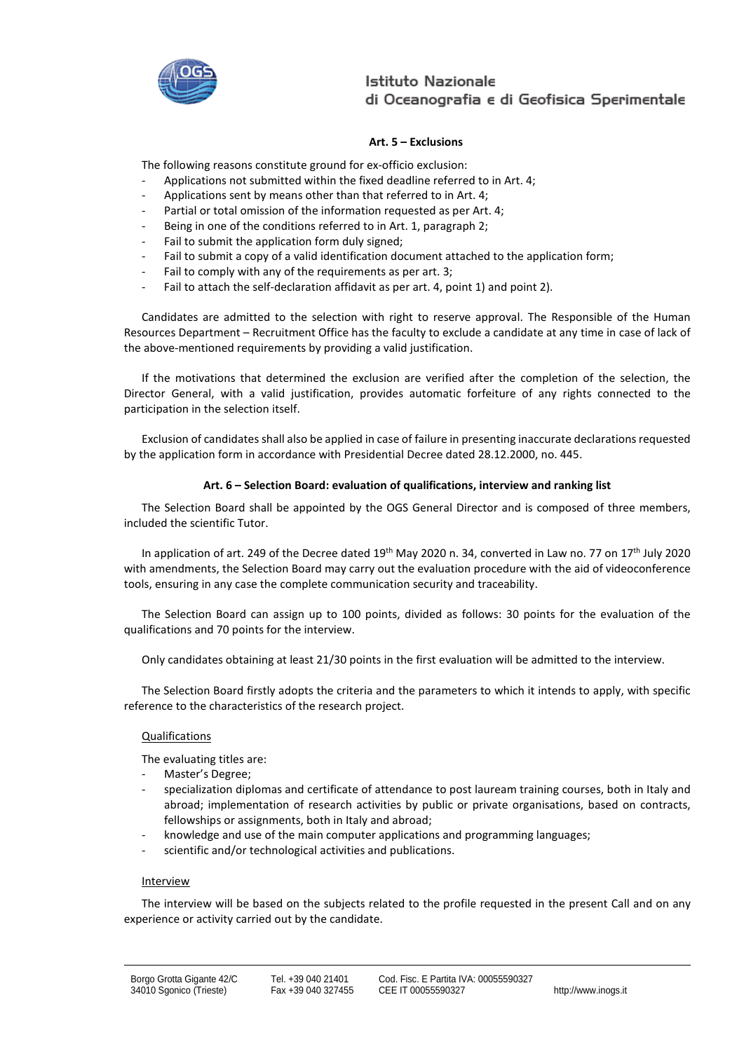

## **Art. 5 – Exclusions**

The following reasons constitute ground for ex-officio exclusion:

- Applications not submitted within the fixed deadline referred to in Art. 4;
- Applications sent by means other than that referred to in Art. 4;
- Partial or total omission of the information requested as per Art. 4;
- Being in one of the conditions referred to in Art. 1, paragraph 2;
- Fail to submit the application form duly signed;
- Fail to submit a copy of a valid identification document attached to the application form;
- Fai[l to comply with any](http://context.reverso.net/traduzione/inglese-italiano/to+comply+with+any) of the [requirements](http://context.reverso.net/traduzione/inglese-italiano/requirements) as per art. 3;
- Fail to attach the self-declaration affidavit as per art. 4, point 1) and point 2).

Candidates are admitted to the selection with right to reserve approval. The Responsible of the Human Resources Department – Recruitment Office has the faculty to exclude a candidate at any time in case of lack of the above-mentioned requirements by providing a valid justification.

If the motivations that determined the exclusion are verified after the completion of the selection, the Director General, with a valid justification, provides automatic forfeiture of any rights connected to the participation in the selection itself.

Exclusion of candidates shall also be applied in case of failure in presenting inaccurate declarations requested by the application form in accordance with Presidential Decree dated 28.12.2000, no. 445.

#### **Art. 6 – Selection Board: evaluation of qualifications, interview and ranking list**

The Selection Board shall be appointed by the OGS General Director and is composed of three members, included the scientific Tutor.

In application of art. 249 of the Decree dated 19<sup>th</sup> May 2020 n. 34, converted in Law no. 77 on 17<sup>th</sup> July 2020 with amendments, the Selection Board may carry out the evaluation procedure with the aid of videoconference tools, ensuring in any case the complete communication security and traceability.

The Selection Board can assign up to 100 points, divided as follows: 30 points for the evaluation of the qualifications and 70 points for the interview.

Only candidates obtaining at least 21/30 points in the first evaluation will be admitted to the interview.

The Selection Board firstly adopts the criteria and the parameters to which it intends to apply, with specific reference to the characteristics of the research project.

#### Qualifications

The evaluating titles are:

- Master's Degree;
- specialization diplomas and certificate of attendance to post lauream training courses, both in Italy and abroad; implementation of research activities by public or private organisations, based on contracts, fellowships or assignments, both in Italy and abroad;
- knowledge and use of the main computer applications and programming languages;
- scientific and/or technological activities and publications.

#### Interview

The interview will be based on the subjects related to the profile requested in the present Call and on any experience or activity carried out by the candidate.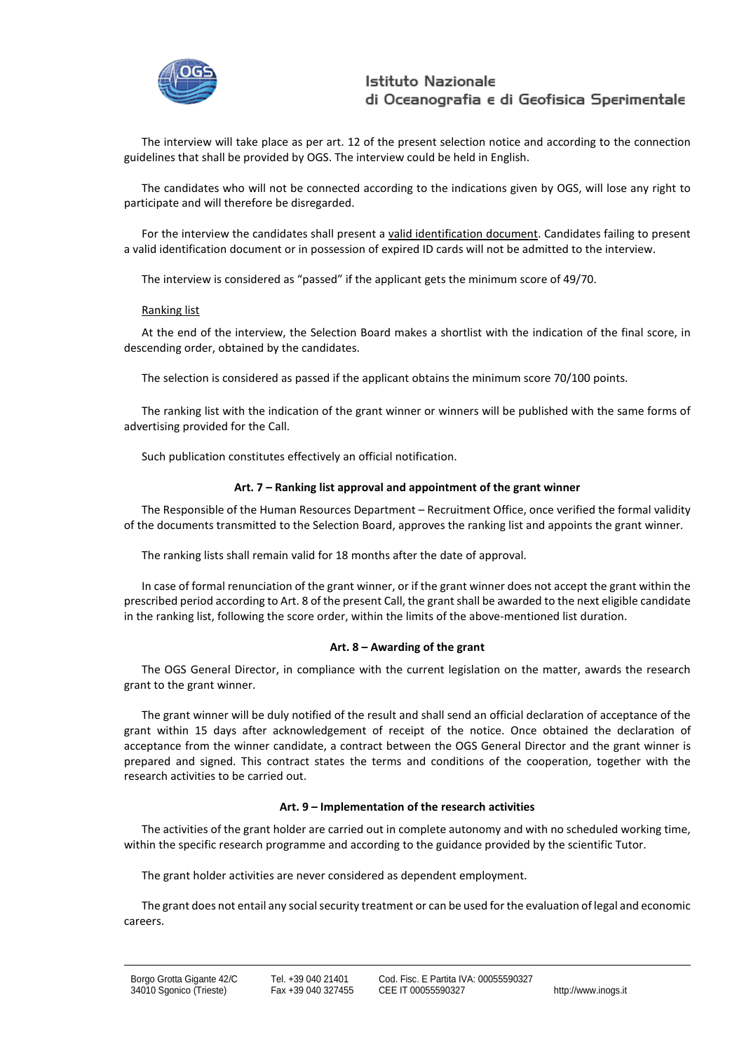

The interview will take place as per art. 12 of the present selection notice and according to the connection guidelines that shall be provided by OGS. The interview could be held in English.

The candidates who will not be connected according to the indications given by OGS, will lose any right to participate and will therefore be disregarded.

For the interview the candidates shall present a valid identification document. Candidates failing to present a valid identification document or in possession of expired ID cards will not be admitted to the interview.

The interview is considered as "passed" if the applicant gets the minimum score of 49/70.

#### Ranking list

At the end of the interview, the Selection Board makes a shortlist with the indication of the final score, in descending order, obtained by the candidates.

The selection is considered as passed if the applicant obtains the minimum score 70/100 points.

The ranking list with the indication of the grant winner or winners will be published with the same forms of advertising provided for the Call.

Such publication constitutes effectively an official notification.

#### **Art. 7 – Ranking list approval and appointment of the grant winner**

The Responsible of the Human Resources Department – Recruitment Office, once verified the formal validity of the documents transmitted to the Selection Board, approves the ranking list and appoints the grant winner.

The ranking lists shall remain valid for 18 months after the date of approval.

In case of formal renunciation of the grant winner, or if the grant winner does not accept the grant within the prescribed period according to Art. 8 of the present Call, the grant shall be awarded to the next eligible candidate in the ranking list, following the score order, within the limits of the above-mentioned list duration.

#### **Art. 8 – Awarding of the grant**

The OGS General Director, in compliance with the current legislation on the matter, awards the research grant to the grant winner.

The grant winner will be duly notified of the result and shall send an official declaration of acceptance of the grant within 15 days after acknowledgement of receipt of the notice. Once obtained the declaration of acceptance from the winner candidate, a contract between the OGS General Director and the grant winner is prepared and signed. This contract states the terms and conditions of the cooperation, together with the research activities to be carried out.

#### **Art. 9 – Implementation of the research activities**

The activities of the grant holder are carried out in complete autonomy and with no scheduled working time, within the specific research programme and according to the guidance provided by the scientific Tutor.

The grant holder activities are never considered as dependent employment.

The grant does not entail any social security treatment or can be used for the evaluation of legal and economic careers.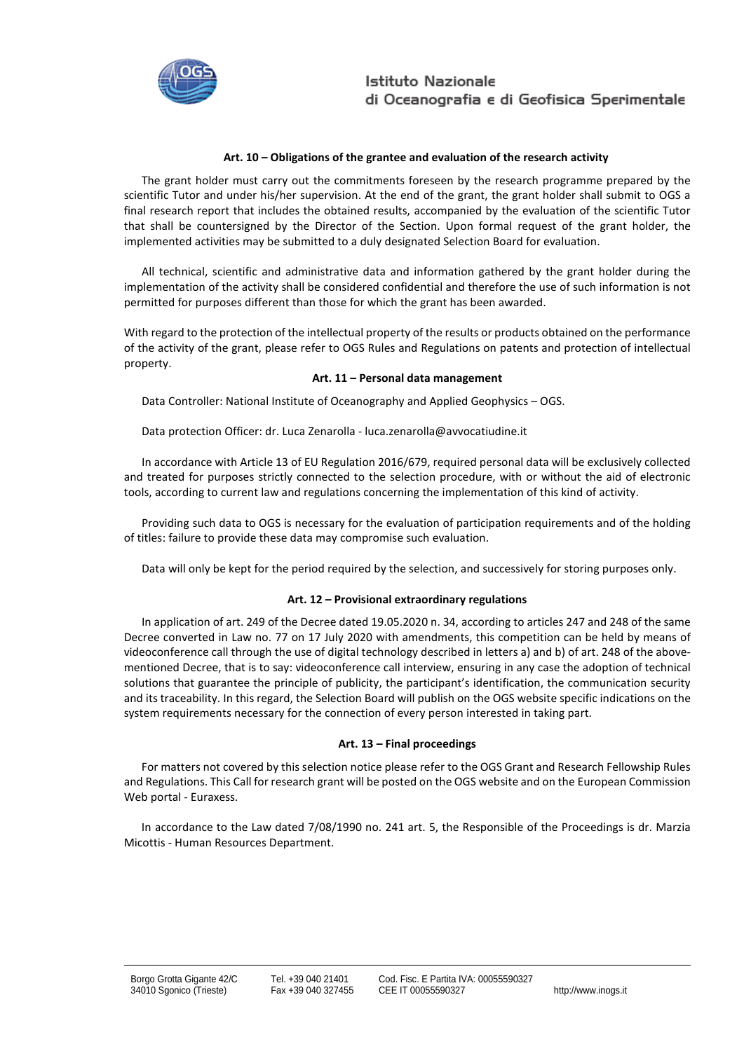

### **Art. 10 – Obligations of the grantee and evaluation of the research activity**

The grant holder must carry out the commitments foreseen by the research programme prepared by the scientific Tutor and under his/her supervision. At the end of the grant, the grant holder shall submit to OGS a final research report that includes the obtained results, accompanied by the evaluation of the scientific Tutor that shall be countersigned by the Director of the Section. Upon formal request of the grant holder, the implemented activities may be submitted to a duly designated Selection Board for evaluation.

All technical, scientific and administrative data and information gathered by the grant holder during the implementation of the activity shall be considered confidential and therefore the use of such information is not permitted for purposes different than those for which the grant has been awarded.

With regard to the protection of the intellectual property of the results or products obtained on the performance of the activity of the grant, please refer to OGS Rules and Regulations on patents and protection of intellectual property.

#### **Art. 11 – Personal data management**

Data Controller: National Institute of Oceanography and Applied Geophysics – OGS.

Data protection Officer: dr. Luca Zenarolla - [luca.zenarolla@avvocatiudine.it](mailto:luca.zenarolla@avvocatiudine.it)

In accordance with Article 13 of EU Regulation 2016/679, required personal data will be exclusively collected and treated for purposes strictly connected to the selection procedure, with or without the aid of electronic tools, according to current law and regulations concerning the implementation of this kind of activity.

Providing such data to OGS is necessary for the evaluation of participation requirements and of the holding of titles: failure to provide these data may compromise such evaluation.

Data will only be kept for the period required by the selection, and successively for storing purposes only.

#### **Art. 12 – Provisional extraordinary regulations**

In application of art. 249 of the Decree dated 19.05.2020 n. 34, according to articles 247 and 248 of the same Decree converted in Law no. 77 on 17 July 2020 with amendments, this competition can be held by means of videoconference call through the use of digital technology described in letters a) and b) of art. 248 of the abovementioned Decree, that is to say: videoconference call interview, ensuring in any case the adoption of technical solutions that guarantee the principle of publicity, the participant's identification, the communication security and its traceability. In this regard, the Selection Board will publish on the OGS website specific indications on the system requirements necessary for the connection of every person interested in taking part.

## **Art. 13 – Final proceedings**

For matters not covered by this selection notice please refer to the OGS Grant and Research Fellowship Rules and Regulations. This Call for research grant will be posted on the OGS website and on the European Commission Web portal - Euraxess.

In accordance to the Law dated 7/08/1990 no. 241 art. 5, the Responsible of the Proceedings is dr. Marzia Micottis - Human Resources Department.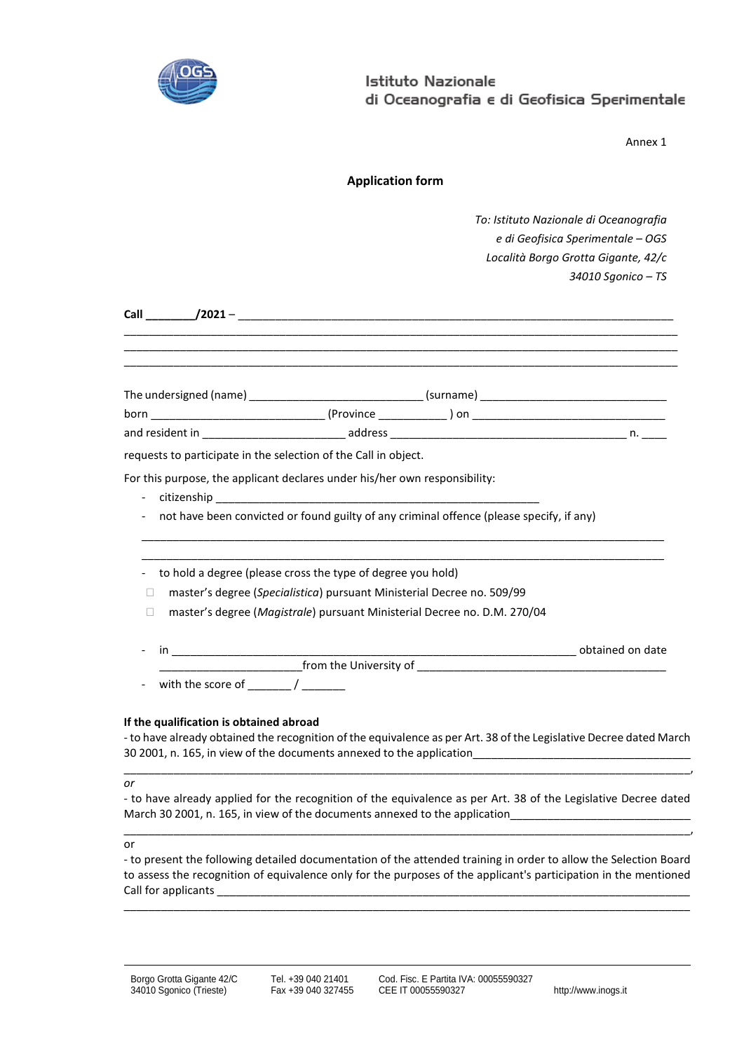

Annex 1

| <b>Application form</b> |  |
|-------------------------|--|
|                         |  |

*To: Istituto Nazionale di Oceanografia e di Geofisica Sperimentale – OGS Località Borgo Grotta Gigante, 42/c 34010 Sgonico – TS*

|                                                                 |                                                                        | <u> 1989 - Johann Harry Harry Harry Harry Harry Harry Harry Harry Harry Harry Harry Harry Harry Harry Harry Harry</u> |  |
|-----------------------------------------------------------------|------------------------------------------------------------------------|-----------------------------------------------------------------------------------------------------------------------|--|
|                                                                 |                                                                        |                                                                                                                       |  |
|                                                                 |                                                                        |                                                                                                                       |  |
| requests to participate in the selection of the Call in object. |                                                                        |                                                                                                                       |  |
| $\overline{\phantom{a}}$                                        |                                                                        | not have been convicted or found guilty of any criminal offence (please specify, if any)                              |  |
|                                                                 | to hold a degree (please cross the type of degree you hold)            |                                                                                                                       |  |
| П                                                               | master's degree (Specialistica) pursuant Ministerial Decree no. 509/99 |                                                                                                                       |  |
| П                                                               |                                                                        | master's degree (Magistrale) pursuant Ministerial Decree no. D.M. 270/04                                              |  |
|                                                                 |                                                                        |                                                                                                                       |  |
|                                                                 |                                                                        |                                                                                                                       |  |
|                                                                 |                                                                        |                                                                                                                       |  |

## **If the qualification is obtained abroad**

to have already obtained the recognition of the equivalence as per Art. 38 of the Legislative Decree dated March 30 2001, n. 165, in view of the documents annexed to the application \_\_\_\_\_\_\_\_\_\_\_\_\_\_\_\_\_\_\_\_\_\_\_\_\_\_\_\_\_\_\_\_\_\_\_\_\_\_\_\_\_\_\_\_\_\_\_\_\_\_\_\_\_\_\_\_\_\_\_\_\_\_\_\_\_\_\_\_\_\_\_\_\_\_\_\_\_\_\_\_\_\_\_\_\_\_\_\_\_\_\_,

*or*

- to have already applied for the recognition of the equivalence as per Art. 38 of the Legislative Decree dated March 30 2001, n. 165, in view of the documents annexed to the application\_\_\_\_\_\_\_\_\_\_\_\_\_\_\_\_\_\_\_\_\_\_\_\_\_\_\_\_\_ \_\_\_\_\_\_\_\_\_\_\_\_\_\_\_\_\_\_\_\_\_\_\_\_\_\_\_\_\_\_\_\_\_\_\_\_\_\_\_\_\_\_\_\_\_\_\_\_\_\_\_\_\_\_\_\_\_\_\_\_\_\_\_\_\_\_\_\_\_\_\_\_\_\_\_\_\_\_\_\_\_\_\_\_\_\_\_\_\_\_\_,

or

- to present the following detailed documentation of the attended training in order to allow the Selection Board to assess the recognition of equivalence only for the purposes of the applicant's participation in the mentioned Call for applicants

\_\_\_\_\_\_\_\_\_\_\_\_\_\_\_\_\_\_\_\_\_\_\_\_\_\_\_\_\_\_\_\_\_\_\_\_\_\_\_\_\_\_\_\_\_\_\_\_\_\_\_\_\_\_\_\_\_\_\_\_\_\_\_\_\_\_\_\_\_\_\_\_\_\_\_\_\_\_\_\_\_\_\_\_\_\_\_\_\_\_\_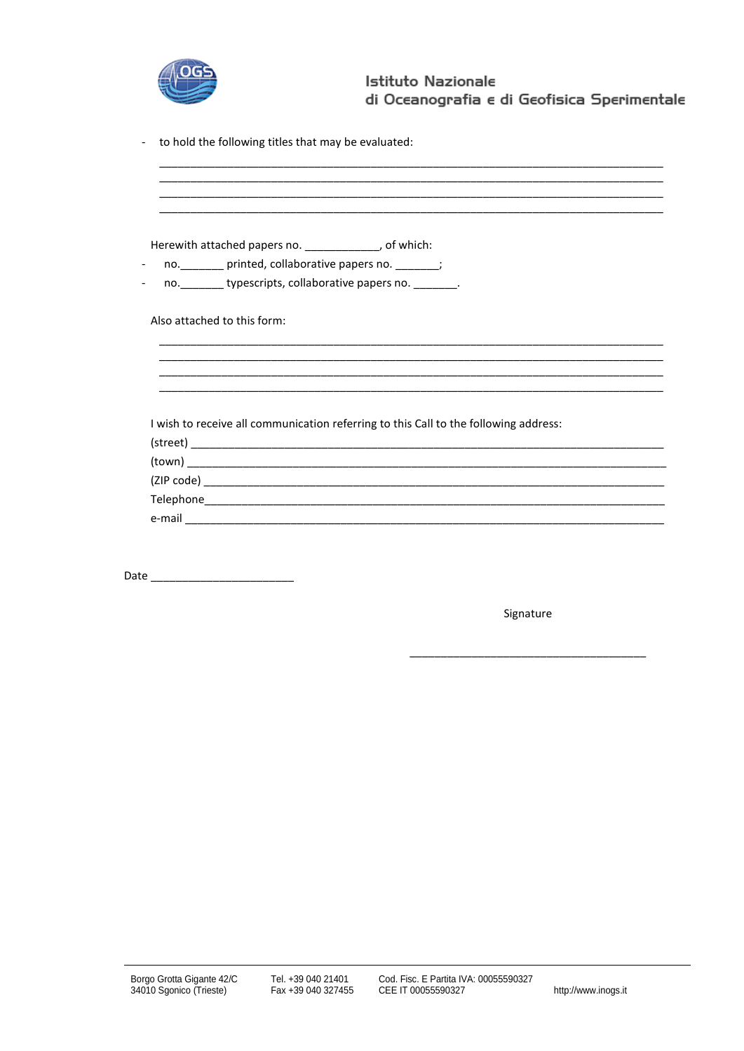

to hold the following titles that may be evaluated:  $\mathbb{Z}$ 

|                             | Herewith attached papers no. _____________, of which:                                |
|-----------------------------|--------------------------------------------------------------------------------------|
|                             | no. _______ printed, collaborative papers no. ______;                                |
|                             | no. _________ typescripts, collaborative papers no. ________.                        |
| Also attached to this form: |                                                                                      |
|                             |                                                                                      |
|                             |                                                                                      |
|                             |                                                                                      |
|                             | I wish to receive all communication referring to this Call to the following address: |
|                             |                                                                                      |
|                             |                                                                                      |
|                             |                                                                                      |
|                             |                                                                                      |
|                             |                                                                                      |

Date  $\_$ 

Signature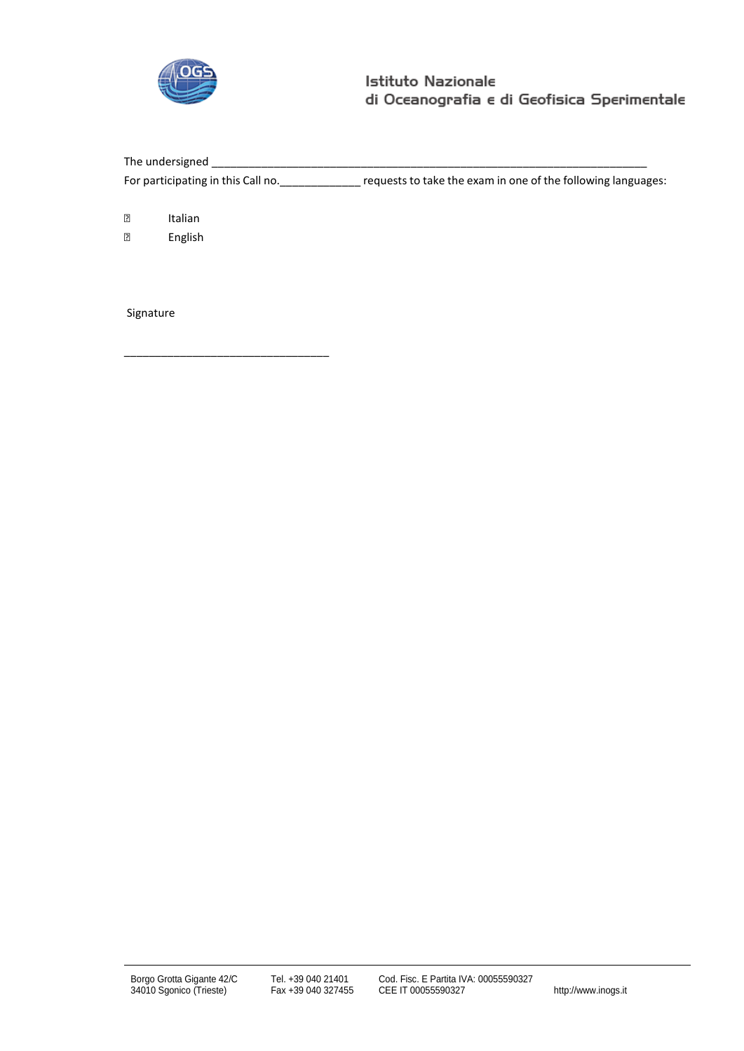

The undersigned \_ For participating in this Call no. \_\_\_\_\_\_\_\_\_\_\_\_\_ requests to take the exam in one of the following languages:

**P** Italian

English

Signature

\_\_\_\_\_\_\_\_\_\_\_\_\_\_\_\_\_\_\_\_\_\_\_\_\_\_\_\_\_\_\_\_\_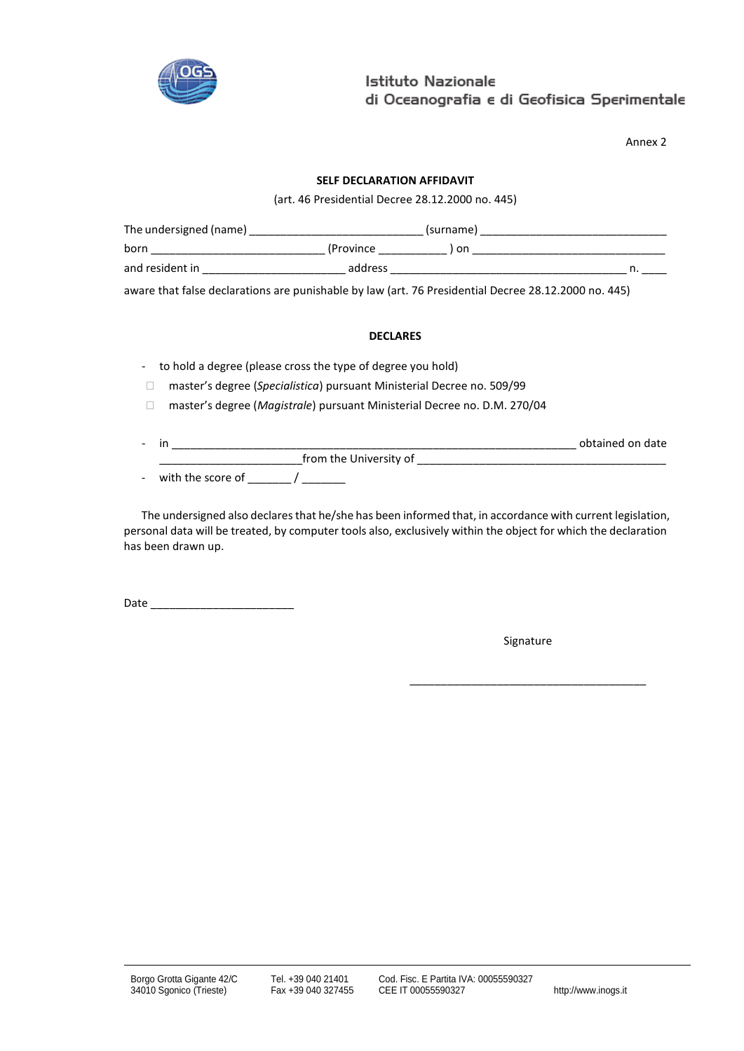

Annex 2

## **SELF DECLARATION AFFIDAVIT**

(art. 46 Presidential Decree 28.12.2000 no. 445)

| The undersigned (name) |            | (surname) |  |
|------------------------|------------|-----------|--|
| born                   | (Province) | on        |  |
| and resident in        | address    |           |  |

aware that false declarations are punishable by law (art. 76 Presidential Decree 28.12.2000 no. 445)

#### **DECLARES**

- to hold a degree (please cross the type of degree you hold)
- □ master's degree (*Specialistica*) pursuant Ministerial Decree no. 509/99
- master's degree (*Magistrale*) pursuant Ministerial Decree no. D.M. 270/04
- in \_\_\_\_\_\_\_\_\_\_\_\_\_\_\_\_\_\_\_\_\_\_\_\_\_\_\_\_\_\_\_\_\_\_\_\_\_\_\_\_\_\_\_\_\_\_\_\_\_\_\_\_\_\_\_\_\_\_\_\_\_\_\_\_\_ obtained on date \_\_\_\_\_\_\_\_\_\_\_\_\_\_\_\_\_\_\_\_\_\_\_from the University of \_\_\_\_\_\_\_\_\_\_\_\_\_\_\_\_\_\_\_\_\_\_\_\_\_\_\_\_\_\_\_\_\_\_\_\_\_\_\_\_
- with the score of \_\_\_\_\_\_\_ / \_\_\_\_\_\_\_

The undersigned also declares that he/she has been informed that, in accordance with current legislation, personal data will be treated, by computer tools also, exclusively within the object for which the declaration has been drawn up.

Date \_\_\_\_\_\_\_\_\_\_\_\_\_\_\_\_\_\_\_\_\_\_\_

Signature

\_\_\_\_\_\_\_\_\_\_\_\_\_\_\_\_\_\_\_\_\_\_\_\_\_\_\_\_\_\_\_\_\_\_\_\_\_\_